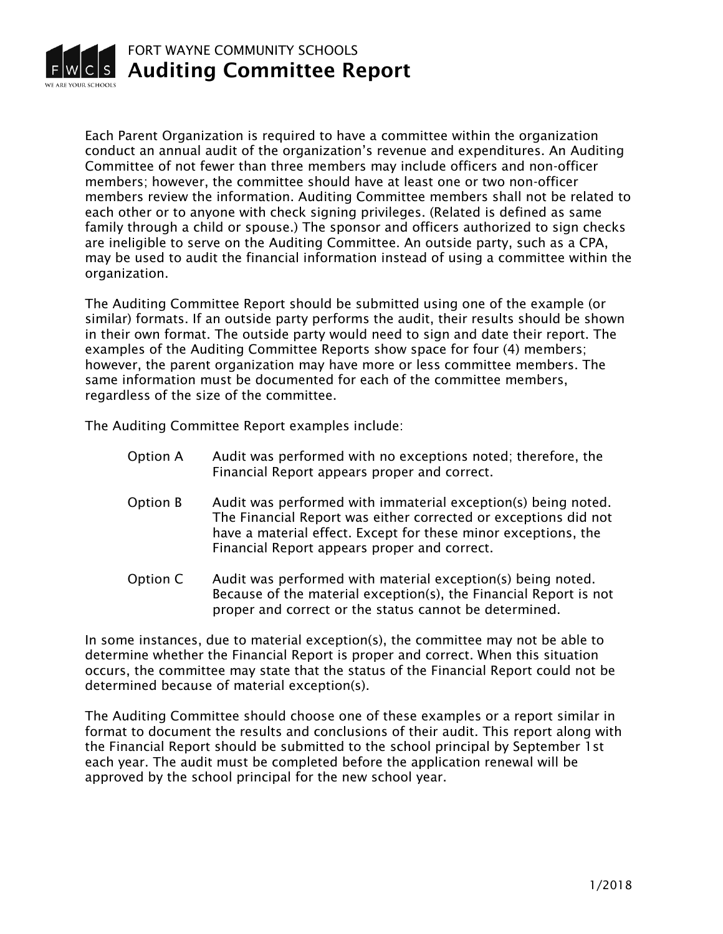

Each Parent Organization is required to have a committee within the organization conduct an annual audit of the organization's revenue and expenditures. An Auditing Committee of not fewer than three members may include officers and non-officer members; however, the committee should have at least one or two non-officer members review the information. Auditing Committee members shall not be related to each other or to anyone with check signing privileges. (Related is defined as same family through a child or spouse.) The sponsor and officers authorized to sign checks are ineligible to serve on the Auditing Committee. An outside party, such as a CPA, may be used to audit the financial information instead of using a committee within the organization.

The Auditing Committee Report should be submitted using one of the example (or similar) formats. If an outside party performs the audit, their results should be shown in their own format. The outside party would need to sign and date their report. The examples of the Auditing Committee Reports show space for four (4) members; however, the parent organization may have more or less committee members. The same information must be documented for each of the committee members, regardless of the size of the committee.

The Auditing Committee Report examples include:

- Option A Audit was performed with no exceptions noted; therefore, the Financial Report appears proper and correct.
- Option B Audit was performed with immaterial exception(s) being noted. The Financial Report was either corrected or exceptions did not have a material effect. Except for these minor exceptions, the Financial Report appears proper and correct.
- Option C Audit was performed with material exception(s) being noted. Because of the material exception(s), the Financial Report is not proper and correct or the status cannot be determined.

In some instances, due to material exception(s), the committee may not be able to determine whether the Financial Report is proper and correct. When this situation occurs, the committee may state that the status of the Financial Report could not be determined because of material exception(s).

The Auditing Committee should choose one of these examples or a report similar in format to document the results and conclusions of their audit. This report along with the Financial Report should be submitted to the school principal by September 1st each year. The audit must be completed before the application renewal will be approved by the school principal for the new school year.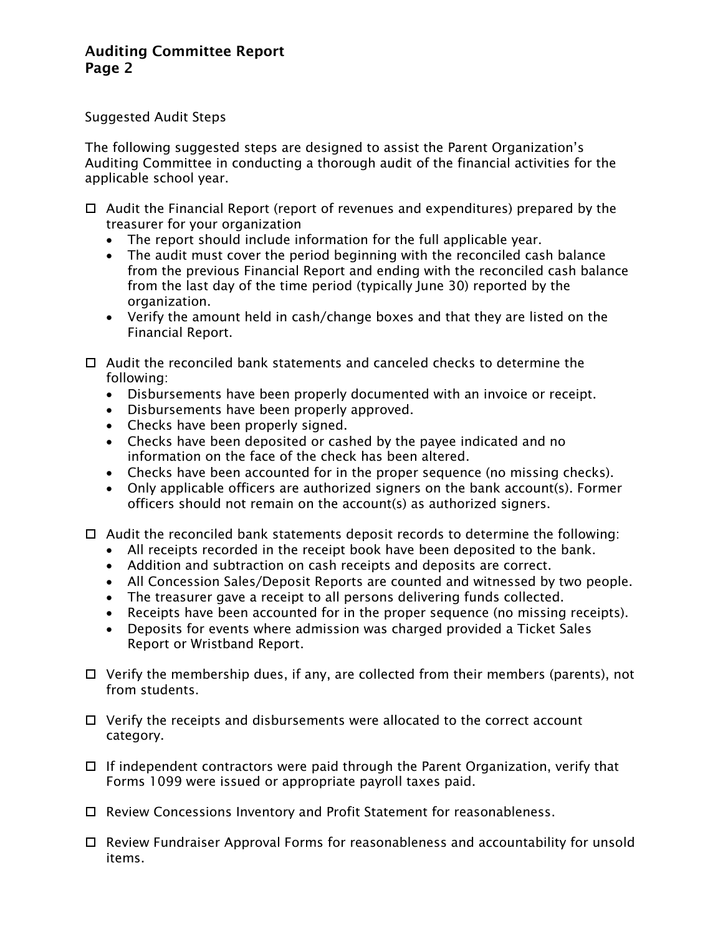## Auditing Committee Report Page 2

Suggested Audit Steps

The following suggested steps are designed to assist the Parent Organization's Auditing Committee in conducting a thorough audit of the financial activities for the applicable school year.

- $\Box$  Audit the Financial Report (report of revenues and expenditures) prepared by the treasurer for your organization
	- The report should include information for the full applicable year.
	- The audit must cover the period beginning with the reconciled cash balance from the previous Financial Report and ending with the reconciled cash balance from the last day of the time period (typically June 30) reported by the organization.
	- Verify the amount held in cash/change boxes and that they are listed on the Financial Report.
- $\Box$  Audit the reconciled bank statements and canceled checks to determine the following:
	- Disbursements have been properly documented with an invoice or receipt.
	- Disbursements have been properly approved.
	- Checks have been properly signed.
	- Checks have been deposited or cashed by the payee indicated and no information on the face of the check has been altered.
	- Checks have been accounted for in the proper sequence (no missing checks).
	- Only applicable officers are authorized signers on the bank account(s). Former officers should not remain on the account(s) as authorized signers.
- $\Box$  Audit the reconciled bank statements deposit records to determine the following:
	- All receipts recorded in the receipt book have been deposited to the bank.
	- Addition and subtraction on cash receipts and deposits are correct.
	- All Concession Sales/Deposit Reports are counted and witnessed by two people.
	- The treasurer gave a receipt to all persons delivering funds collected.
	- Receipts have been accounted for in the proper sequence (no missing receipts).
	- Deposits for events where admission was charged provided a Ticket Sales Report or Wristband Report.
- $\Box$  Verify the membership dues, if any, are collected from their members (parents), not from students.
- $\Box$  Verify the receipts and disbursements were allocated to the correct account category.
- $\Box$  If independent contractors were paid through the Parent Organization, verify that Forms 1099 were issued or appropriate payroll taxes paid.
- □ Review Concessions Inventory and Profit Statement for reasonableness.
- Review Fundraiser Approval Forms for reasonableness and accountability for unsold items.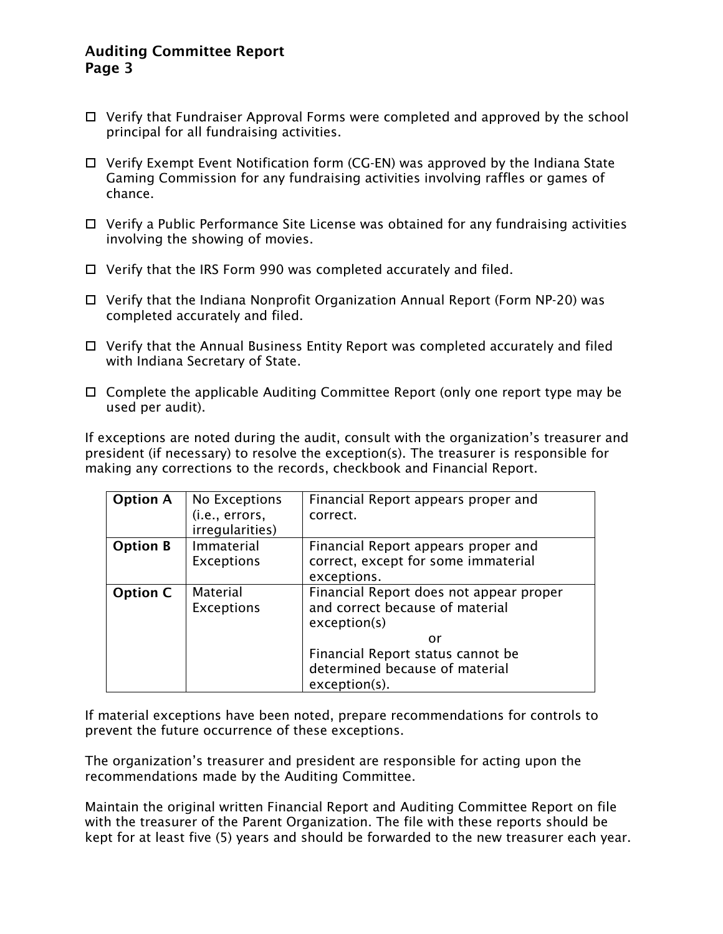## Auditing Committee Report Page 3

- Verify that Fundraiser Approval Forms were completed and approved by the school principal for all fundraising activities.
- Verify Exempt Event Notification form (CG-EN) was approved by the Indiana State Gaming Commission for any fundraising activities involving raffles or games of chance.
- $\Box$  Verify a Public Performance Site License was obtained for any fundraising activities involving the showing of movies.
- $\Box$  Verify that the IRS Form 990 was completed accurately and filed.
- $\Box$  Verify that the Indiana Nonprofit Organization Annual Report (Form NP-20) was completed accurately and filed.
- $\Box$  Verify that the Annual Business Entity Report was completed accurately and filed with Indiana Secretary of State.
- □ Complete the applicable Auditing Committee Report (only one report type may be used per audit).

If exceptions are noted during the audit, consult with the organization's treasurer and president (if necessary) to resolve the exception(s). The treasurer is responsible for making any corrections to the records, checkbook and Financial Report.

| <b>Option A</b> | No Exceptions                        | Financial Report appears proper and                                                        |
|-----------------|--------------------------------------|--------------------------------------------------------------------------------------------|
|                 | (i.e., errors,<br>irregularities)    | correct.                                                                                   |
| <b>Option B</b> | Immaterial<br><b>Exceptions</b>      | Financial Report appears proper and<br>correct, except for some immaterial<br>exceptions.  |
| <b>Option C</b> | <b>Material</b><br><b>Exceptions</b> | Financial Report does not appear proper<br>and correct because of material<br>exception(s) |
|                 |                                      | or<br>Financial Report status cannot be<br>determined because of material<br>exception(s). |

If material exceptions have been noted, prepare recommendations for controls to prevent the future occurrence of these exceptions.

The organization's treasurer and president are responsible for acting upon the recommendations made by the Auditing Committee.

Maintain the original written Financial Report and Auditing Committee Report on file with the treasurer of the Parent Organization. The file with these reports should be kept for at least five (5) years and should be forwarded to the new treasurer each year.